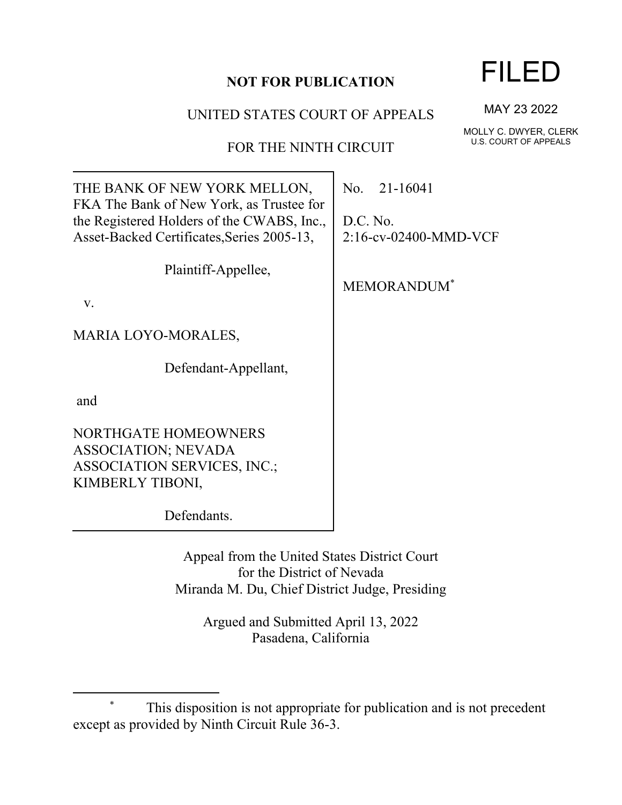### **NOT FOR PUBLICATION**

### UNITED STATES COURT OF APPEALS

## FOR THE NINTH CIRCUIT

| THE BANK OF NEW YORK MELLON,<br>FKA The Bank of New York, as Trustee for                 | No. 21-16041                      |
|------------------------------------------------------------------------------------------|-----------------------------------|
| the Registered Holders of the CWABS, Inc.,<br>Asset-Backed Certificates, Series 2005-13, | D.C. No.<br>2:16-cv-02400-MMD-VCF |
|                                                                                          |                                   |
| Plaintiff-Appellee,                                                                      | <b>MEMORANDUM</b> *               |
| V.                                                                                       |                                   |
| MARIA LOYO-MORALES,                                                                      |                                   |
| Defendant-Appellant,                                                                     |                                   |
| and                                                                                      |                                   |
| NORTHGATE HOMEOWNERS                                                                     |                                   |
| ASSOCIATION; NEVADA                                                                      |                                   |
| <b>ASSOCIATION SERVICES, INC.;</b>                                                       |                                   |
| KIMBERLY TIBONI,                                                                         |                                   |
| Defendants.                                                                              |                                   |
|                                                                                          |                                   |

Appeal from the United States District Court for the District of Nevada Miranda M. Du, Chief District Judge, Presiding

> Argued and Submitted April 13, 2022 Pasadena, California

# FILED

MAY 23 2022

MOLLY C. DWYER, CLERK U.S. COURT OF APPEALS

<sup>\*</sup> This disposition is not appropriate for publication and is not precedent except as provided by Ninth Circuit Rule 36-3.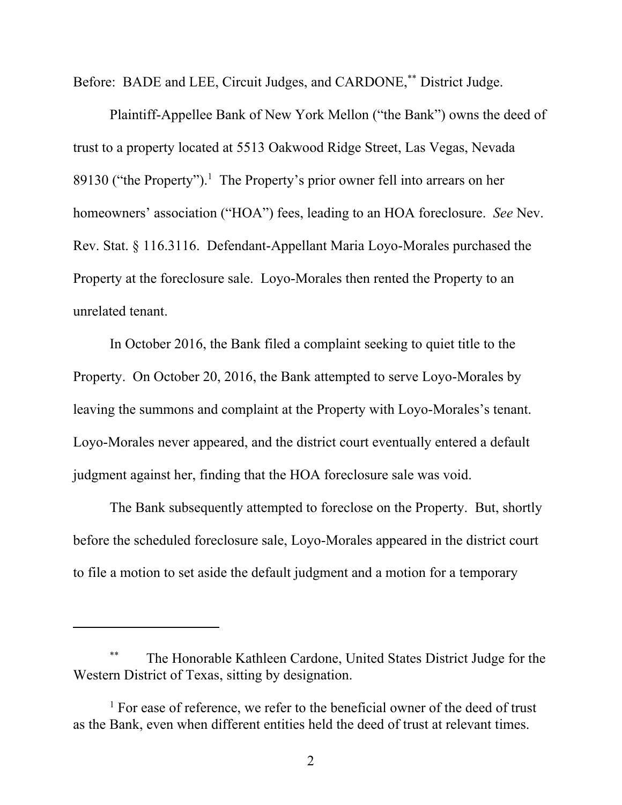Before: BADE and LEE, Circuit Judges, and CARDONE,\*\* District Judge.

Plaintiff-Appellee Bank of New York Mellon ("the Bank") owns the deed of trust to a property located at 5513 Oakwood Ridge Street, Las Vegas, Nevada 89130 ("the Property").<sup>1</sup> The Property's prior owner fell into arrears on her homeowners' association ("HOA") fees, leading to an HOA foreclosure. *See* Nev. Rev. Stat. § 116.3116. Defendant-Appellant Maria Loyo-Morales purchased the Property at the foreclosure sale. Loyo-Morales then rented the Property to an unrelated tenant.

In October 2016, the Bank filed a complaint seeking to quiet title to the Property. On October 20, 2016, the Bank attempted to serve Loyo-Morales by leaving the summons and complaint at the Property with Loyo-Morales's tenant. Loyo-Morales never appeared, and the district court eventually entered a default judgment against her, finding that the HOA foreclosure sale was void.

The Bank subsequently attempted to foreclose on the Property. But, shortly before the scheduled foreclosure sale, Loyo-Morales appeared in the district court to file a motion to set aside the default judgment and a motion for a temporary

The Honorable Kathleen Cardone, United States District Judge for the Western District of Texas, sitting by designation.

<sup>&</sup>lt;sup>1</sup> For ease of reference, we refer to the beneficial owner of the deed of trust as the Bank, even when different entities held the deed of trust at relevant times.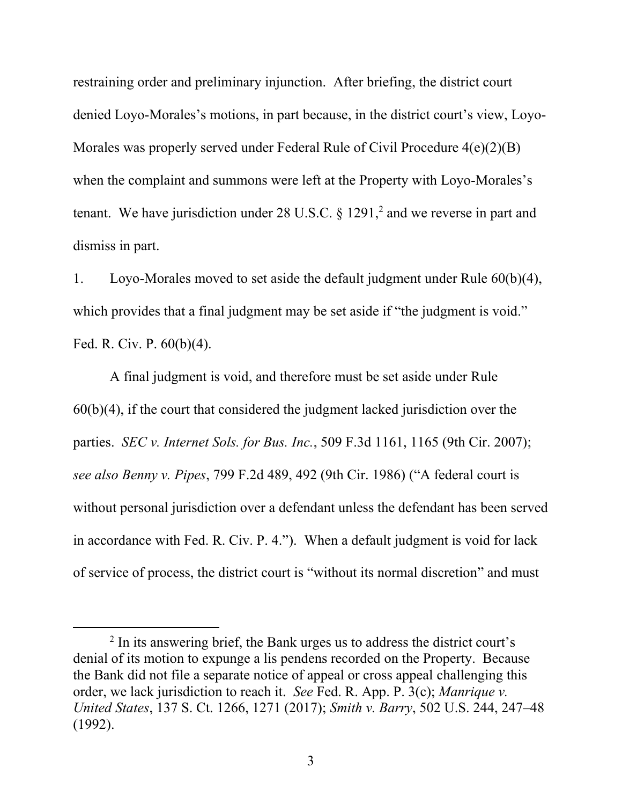restraining order and preliminary injunction. After briefing, the district court denied Loyo-Morales's motions, in part because, in the district court's view, Loyo-Morales was properly served under Federal Rule of Civil Procedure 4(e)(2)(B) when the complaint and summons were left at the Property with Loyo-Morales's tenant. We have jurisdiction under 28 U.S.C.  $\S 1291$ , and we reverse in part and dismiss in part.

1. Loyo-Morales moved to set aside the default judgment under Rule 60(b)(4), which provides that a final judgment may be set aside if "the judgment is void." Fed. R. Civ. P. 60(b)(4).

A final judgment is void, and therefore must be set aside under Rule 60(b)(4), if the court that considered the judgment lacked jurisdiction over the parties. *SEC v. Internet Sols. for Bus. Inc.*, 509 F.3d 1161, 1165 (9th Cir. 2007); *see also Benny v. Pipes*, 799 F.2d 489, 492 (9th Cir. 1986) ("A federal court is without personal jurisdiction over a defendant unless the defendant has been served in accordance with Fed. R. Civ. P. 4."). When a default judgment is void for lack of service of process, the district court is "without its normal discretion" and must

<sup>&</sup>lt;sup>2</sup> In its answering brief, the Bank urges us to address the district court's denial of its motion to expunge a lis pendens recorded on the Property. Because the Bank did not file a separate notice of appeal or cross appeal challenging this order, we lack jurisdiction to reach it. *See* Fed. R. App. P. 3(c); *Manrique v. United States*, 137 S. Ct. 1266, 1271 (2017); *Smith v. Barry*, 502 U.S. 244, 247–48 (1992).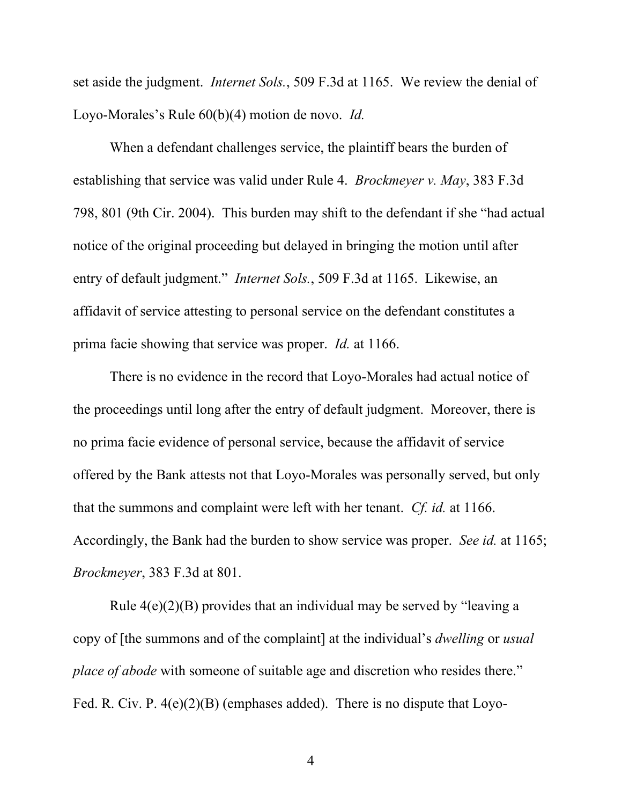set aside the judgment. *Internet Sols.*, 509 F.3d at 1165. We review the denial of Loyo-Morales's Rule 60(b)(4) motion de novo. *Id.*

When a defendant challenges service, the plaintiff bears the burden of establishing that service was valid under Rule 4. *Brockmeyer v. May*, 383 F.3d 798, 801 (9th Cir. 2004). This burden may shift to the defendant if she "had actual notice of the original proceeding but delayed in bringing the motion until after entry of default judgment." *Internet Sols.*, 509 F.3d at 1165. Likewise, an affidavit of service attesting to personal service on the defendant constitutes a prima facie showing that service was proper. *Id.* at 1166.

There is no evidence in the record that Loyo-Morales had actual notice of the proceedings until long after the entry of default judgment. Moreover, there is no prima facie evidence of personal service, because the affidavit of service offered by the Bank attests not that Loyo-Morales was personally served, but only that the summons and complaint were left with her tenant. *Cf. id.* at 1166. Accordingly, the Bank had the burden to show service was proper. *See id.* at 1165; *Brockmeyer*, 383 F.3d at 801.

Rule  $4(e)(2)(B)$  provides that an individual may be served by "leaving a copy of [the summons and of the complaint] at the individual's *dwelling* or *usual place of abode* with someone of suitable age and discretion who resides there." Fed. R. Civ. P.  $4(e)(2)(B)$  (emphases added). There is no dispute that Loyo-

4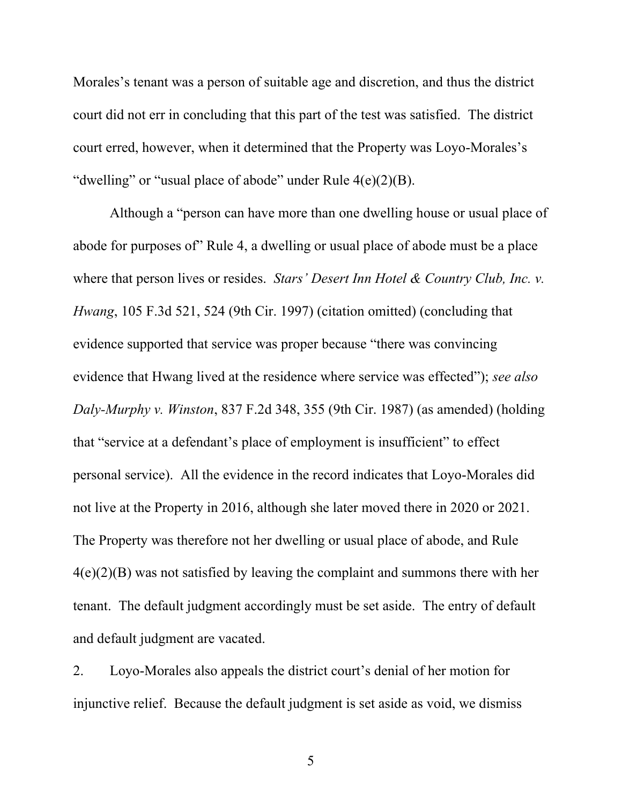Morales's tenant was a person of suitable age and discretion, and thus the district court did not err in concluding that this part of the test was satisfied. The district court erred, however, when it determined that the Property was Loyo-Morales's "dwelling" or "usual place of abode" under Rule 4(e)(2)(B).

Although a "person can have more than one dwelling house or usual place of abode for purposes of" Rule 4, a dwelling or usual place of abode must be a place where that person lives or resides. *Stars' Desert Inn Hotel & Country Club, Inc. v. Hwang*, 105 F.3d 521, 524 (9th Cir. 1997) (citation omitted) (concluding that evidence supported that service was proper because "there was convincing evidence that Hwang lived at the residence where service was effected"); *see also Daly-Murphy v. Winston*, 837 F.2d 348, 355 (9th Cir. 1987) (as amended) (holding that "service at a defendant's place of employment is insufficient" to effect personal service). All the evidence in the record indicates that Loyo-Morales did not live at the Property in 2016, although she later moved there in 2020 or 2021. The Property was therefore not her dwelling or usual place of abode, and Rule 4(e)(2)(B) was not satisfied by leaving the complaint and summons there with her tenant. The default judgment accordingly must be set aside. The entry of default and default judgment are vacated.

2. Loyo-Morales also appeals the district court's denial of her motion for injunctive relief. Because the default judgment is set aside as void, we dismiss

5